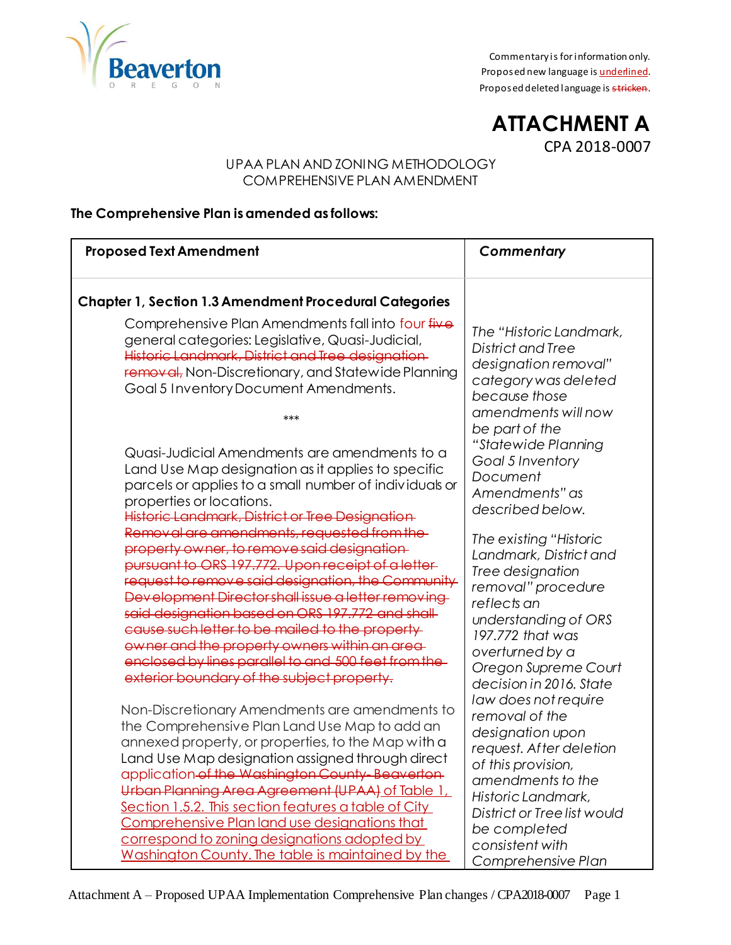

Commentary is for information only. Proposed new language is *underlined*. Proposed deleted language is stricken.

**ATTACHMENT A** CPA 2018-0007

### UPAA PLAN AND ZONING METHODOLOGY COMPREHENSIVE PLAN AMENDMENT

## **The Comprehensive Plan is amended as follows:**

| <b>Proposed Text Amendment</b>                                                                                                                                                                                                                                                                                                                                                                                                                                                                                                 | Commentary                                                                                                                                                                                                                                     |
|--------------------------------------------------------------------------------------------------------------------------------------------------------------------------------------------------------------------------------------------------------------------------------------------------------------------------------------------------------------------------------------------------------------------------------------------------------------------------------------------------------------------------------|------------------------------------------------------------------------------------------------------------------------------------------------------------------------------------------------------------------------------------------------|
| <b>Chapter 1, Section 1.3 Amendment Procedural Categories</b>                                                                                                                                                                                                                                                                                                                                                                                                                                                                  |                                                                                                                                                                                                                                                |
| Comprehensive Plan Amendments fall into four five<br>general categories: Legislative, Quasi-Judicial,<br>Historic Landmark, District and Tree designation-<br>removal, Non-Discretionary, and Statewide Planning<br>Goal 5 Inventory Document Amendments.                                                                                                                                                                                                                                                                      | The "Historic Landmark,<br>District and Tree<br>designation removal"<br>category was deleted<br>because those<br>amendments will now                                                                                                           |
| ***<br>Quasi-Judicial Amendments are amendments to a<br>Land Use Map designation as it applies to specific<br>parcels or applies to a small number of individuals or<br>properties or locations.<br>Historic Landmark, District or Tree Designation                                                                                                                                                                                                                                                                            | be part of the<br>"Statewide Planning<br>Goal 5 Inventory<br>Document<br>Amendments" as<br>described below.                                                                                                                                    |
| Removal are amendments, requested from the<br>property owner, to remove said designation-<br>pursuant to ORS 197.772. Upon receipt of a letter-<br>request to remove said designation, the Community<br>Development Director shall issue a letter removing<br>said designation based on ORS 197.772 and shall-<br>cause such letter to be mailed to the property-<br>owner and the property owners within an area-<br>enclosed by lines parallel to and 500 feet from the-<br>exterior boundary of the subject property.       | The existing "Historic<br>Landmark, District and<br>Tree designation<br>removal" procedure<br>reflects an<br>understanding of ORS<br>197.772 that was<br>overturned by a<br>Oregon Supreme Court<br>decision in 2016. State                    |
| Non-Discretionary Amendments are amendments to<br>the Comprehensive Plan Land Use Map to add an<br>annexed property, or properties, to the Map with a<br>Land Use Map designation assigned through direct<br>application of the Washington County-Beaverton-<br>Urban Planning Area Agreement (UPAA) of Table 1,<br>Section 1.5.2. This section features a table of City<br>Comprehensive Plan land use designations that<br>correspond to zoning designations adopted by<br>Washington County. The table is maintained by the | law does not require<br>removal of the<br>designation upon<br>request. After deletion<br>of this provision,<br>amendments to the<br>Historic Landmark,<br>District or Tree list would<br>be completed<br>consistent with<br>Comprehensive Plan |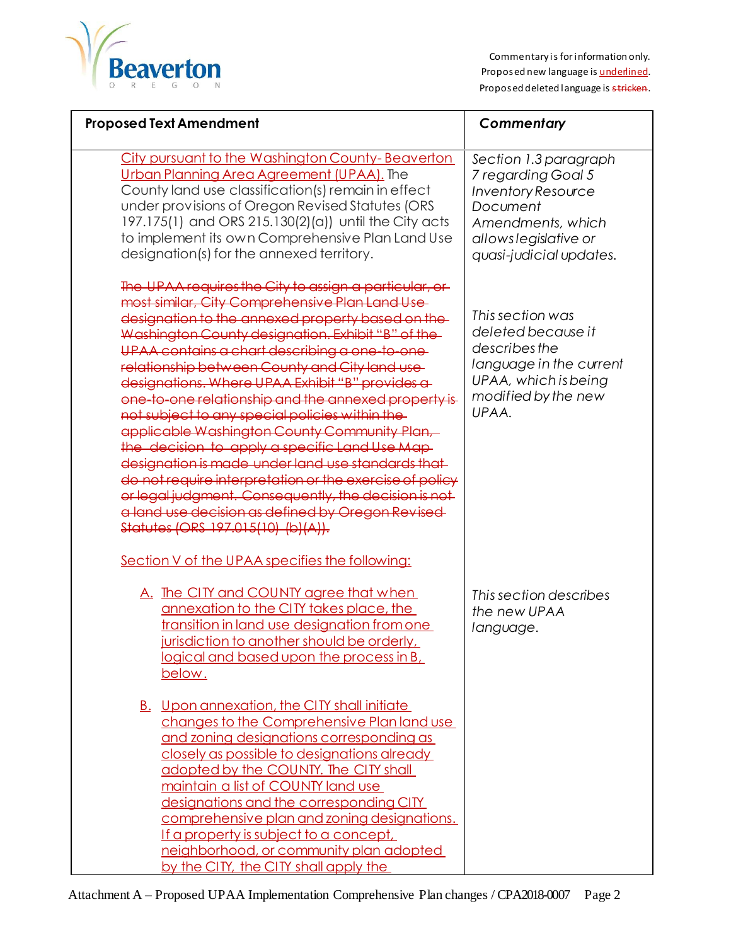

| <b>Proposed Text Amendment</b>                                                                                                                                                                                                                                                                                                                                                                                                                                                                                                                                                                                                                                                                                                                                                                                                                       | Commentary                                                                                                                                                    |  |
|------------------------------------------------------------------------------------------------------------------------------------------------------------------------------------------------------------------------------------------------------------------------------------------------------------------------------------------------------------------------------------------------------------------------------------------------------------------------------------------------------------------------------------------------------------------------------------------------------------------------------------------------------------------------------------------------------------------------------------------------------------------------------------------------------------------------------------------------------|---------------------------------------------------------------------------------------------------------------------------------------------------------------|--|
| City pursuant to the Washington County-Beaverton<br>Urban Planning Area Agreement (UPAA). The<br>County land use classification(s) remain in effect<br>under provisions of Oregon Revised Statutes (ORS<br>197.175(1) and ORS 215.130(2)(a)) until the City acts<br>to implement its own Comprehensive Plan Land Use<br>designation(s) for the annexed territory.                                                                                                                                                                                                                                                                                                                                                                                                                                                                                    | Section 1.3 paragraph<br>7 regarding Goal 5<br><b>Inventory Resource</b><br>Document<br>Amendments, which<br>allows legislative or<br>quasi-judicial updates. |  |
| The UPAA requires the City to assign a particular, or<br>most similar, City Comprehensive Plan Land Use<br>designation to the annexed property based on the<br>Washington County designation. Exhibit "B" of the-<br>UPAA contains a chart describing a one-to-one-<br>relationship between County and City land use<br>designations. Where UPAA Exhibit "B" provides a<br>one-to-one relationship and the annexed property is<br>not subject to any special policies within the<br>applicable Washington County Community Plan,<br>the decision to apply a specific Land Use Map-<br>designation is made under land use standards that<br>do not require interpretation or the exercise of policy<br>or legal judgment. Consequently, the decision is not<br>a land use decision as defined by Oregon Revised<br>Statutes (ORS 197.015(10) (b)(A)). | This section was<br>deleted because it<br>describes the<br>language in the current<br>UPAA, which is being<br>modified by the new<br>UPAA.                    |  |
| Section V of the UPAA specifies the following:<br>A. The CITY and COUNTY agree that when<br>annexation to the CITY takes place, the<br>transition in land use designation from one<br>jurisdiction to another should be orderly,<br><u>logical and based upon the process in B, </u><br>below.                                                                                                                                                                                                                                                                                                                                                                                                                                                                                                                                                       | This section describes<br>the new UPAA<br>language.                                                                                                           |  |
| B. Upon annexation, the CITY shall initiate<br>changes to the Comprehensive Plan land use<br>and zoning designations corresponding as<br>closely as possible to designations already<br>adopted by the COUNTY. The CITY shall<br>maintain a list of COUNTY land use<br>designations and the corresponding CITY<br>comprehensive plan and zoning designations.<br><u>If a property is subject to a concept,</u><br>neighborhood, or community plan adopted<br>by the CITY, the CITY shall apply the                                                                                                                                                                                                                                                                                                                                                   |                                                                                                                                                               |  |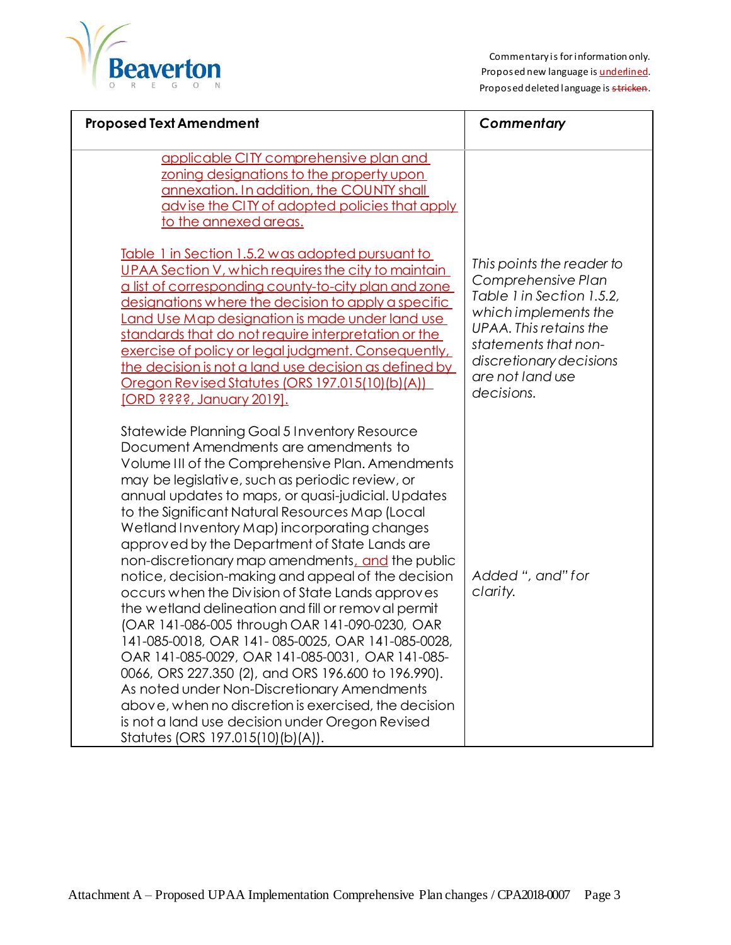

| <b>Proposed Text Amendment</b>                                                                                                                                                                                                                                                                                                                                                                                                                                                                                                                                                                                                                                                                                                                                                                                                                                                                                                                                                                                                             | Commentary                                                                                                                                                                                                          |
|--------------------------------------------------------------------------------------------------------------------------------------------------------------------------------------------------------------------------------------------------------------------------------------------------------------------------------------------------------------------------------------------------------------------------------------------------------------------------------------------------------------------------------------------------------------------------------------------------------------------------------------------------------------------------------------------------------------------------------------------------------------------------------------------------------------------------------------------------------------------------------------------------------------------------------------------------------------------------------------------------------------------------------------------|---------------------------------------------------------------------------------------------------------------------------------------------------------------------------------------------------------------------|
| applicable CITY comprehensive plan and<br>zoning designations to the property upon<br>annexation. In addition, the COUNTY shall<br>advise the CITY of adopted policies that apply<br>to the annexed areas.                                                                                                                                                                                                                                                                                                                                                                                                                                                                                                                                                                                                                                                                                                                                                                                                                                 |                                                                                                                                                                                                                     |
| <u>Table 1 in Section 1.5.2 was adopted pursuant to</u><br>UPAA Section V, which requires the city to maintain<br>a list of corresponding county-to-city plan and zone<br>designations where the decision to apply a specific<br>Land Use Map designation is made under land use<br>standards that do not require interpretation or the<br>exercise of policy or legal judgment. Consequently,<br>the decision is not a land use decision as defined by<br>Oregon Revised Statutes (ORS 197.015(10)(b)(A))<br><u>[ORD ????, January 2019].</u>                                                                                                                                                                                                                                                                                                                                                                                                                                                                                             | This points the reader to<br>Comprehensive Plan<br>Table 1 in Section 1.5.2,<br>which implements the<br>UPAA. This retains the<br>statements that non-<br>discretionary decisions<br>are not land use<br>decisions. |
| Statewide Planning Goal 5 Inventory Resource<br>Document Amendments are amendments to<br>Volume III of the Comprehensive Plan. Amendments<br>may be legislative, such as periodic review, or<br>annual updates to maps, or quasi-judicial. Updates<br>to the Significant Natural Resources Map (Local<br>Wetland Inventory Map) incorporating changes<br>approved by the Department of State Lands are<br>non-discretionary map amendments, and the public<br>notice, decision-making and appeal of the decision<br>occurs when the Division of State Lands approves<br>the wetland delineation and fill or removal permit<br>(OAR 141-086-005 through OAR 141-090-0230, OAR<br>141-085-0018, OAR 141-085-0025, OAR 141-085-0028<br>OAR 141-085-0029, OAR 141-085-0031, OAR 141-085-<br>0066, ORS 227.350 (2), and ORS 196.600 to 196.990).<br>As noted under Non-Discretionary Amendments<br>above, when no discretion is exercised, the decision<br>is not a land use decision under Oregon Revised<br>Statutes (ORS 197.015(10)(b)(A)). | Added ", and" for<br>clarity.                                                                                                                                                                                       |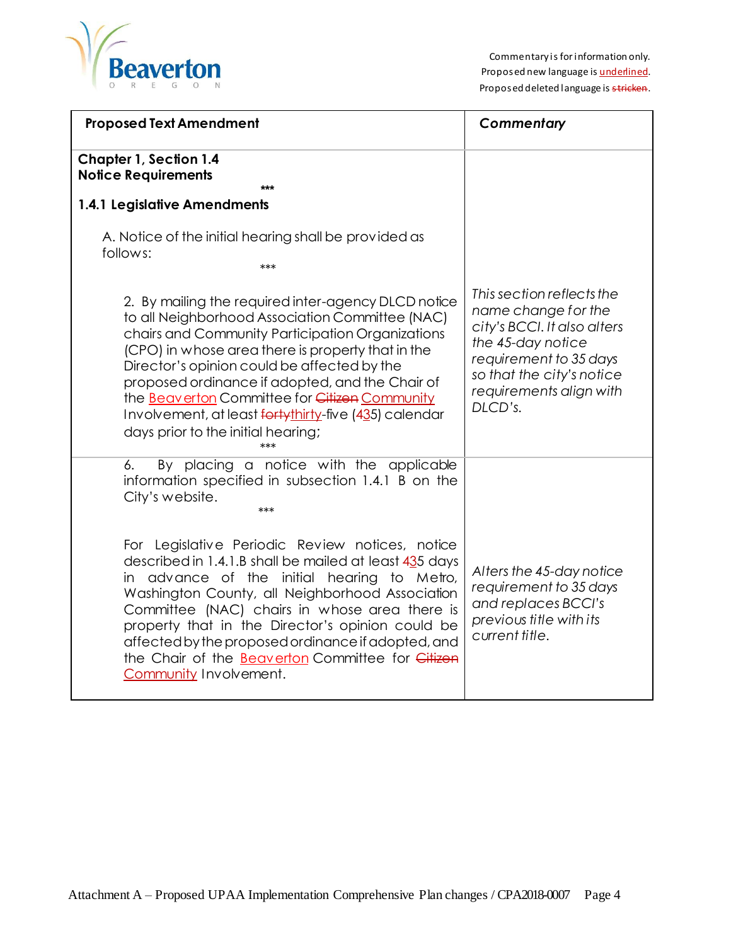

| <b>Proposed Text Amendment</b>                                                                                                                                                                                                                                                                                                                                                                                                                                    | Commentary                                                                                                                                                                                        |
|-------------------------------------------------------------------------------------------------------------------------------------------------------------------------------------------------------------------------------------------------------------------------------------------------------------------------------------------------------------------------------------------------------------------------------------------------------------------|---------------------------------------------------------------------------------------------------------------------------------------------------------------------------------------------------|
| <b>Chapter 1, Section 1.4</b><br><b>Notice Requirements</b><br>***                                                                                                                                                                                                                                                                                                                                                                                                |                                                                                                                                                                                                   |
| 1.4.1 Legislative Amendments                                                                                                                                                                                                                                                                                                                                                                                                                                      |                                                                                                                                                                                                   |
| A. Notice of the initial hearing shall be provided as<br>follows:<br>***                                                                                                                                                                                                                                                                                                                                                                                          |                                                                                                                                                                                                   |
| 2. By mailing the required inter-agency DLCD notice<br>to all Neighborhood Association Committee (NAC)<br>chairs and Community Participation Organizations<br>(CPO) in whose area there is property that in the<br>Director's opinion could be affected by the<br>proposed ordinance if adopted, and the Chair of<br>the Beaverton Committee for Citizen Community<br>Involvement, at least fortythirty-five (435) calendar<br>days prior to the initial hearing; | This section reflects the<br>name change for the<br>city's BCCI. It also alters<br>the 45-day notice<br>requirement to 35 days<br>so that the city's notice<br>requirements align with<br>DLCD's. |
| By placing a notice with the applicable<br>6.<br>information specified in subsection 1.4.1 B on the<br>City's website.<br>***                                                                                                                                                                                                                                                                                                                                     |                                                                                                                                                                                                   |
| For Legislative Periodic Review notices, notice<br>described in 1.4.1.B shall be mailed at least 435 days<br>in advance of the initial hearing to Metro,<br>Washington County, all Neighborhood Association<br>Committee (NAC) chairs in whose area there is<br>property that in the Director's opinion could be<br>affected by the proposed ordinance if adopted, and<br>the Chair of the Beaverton Committee for Citizen<br>Community Involvement.              | Alters the 45-day notice<br>requirement to 35 days<br>and replaces BCCI's<br>previous title with its<br>current title.                                                                            |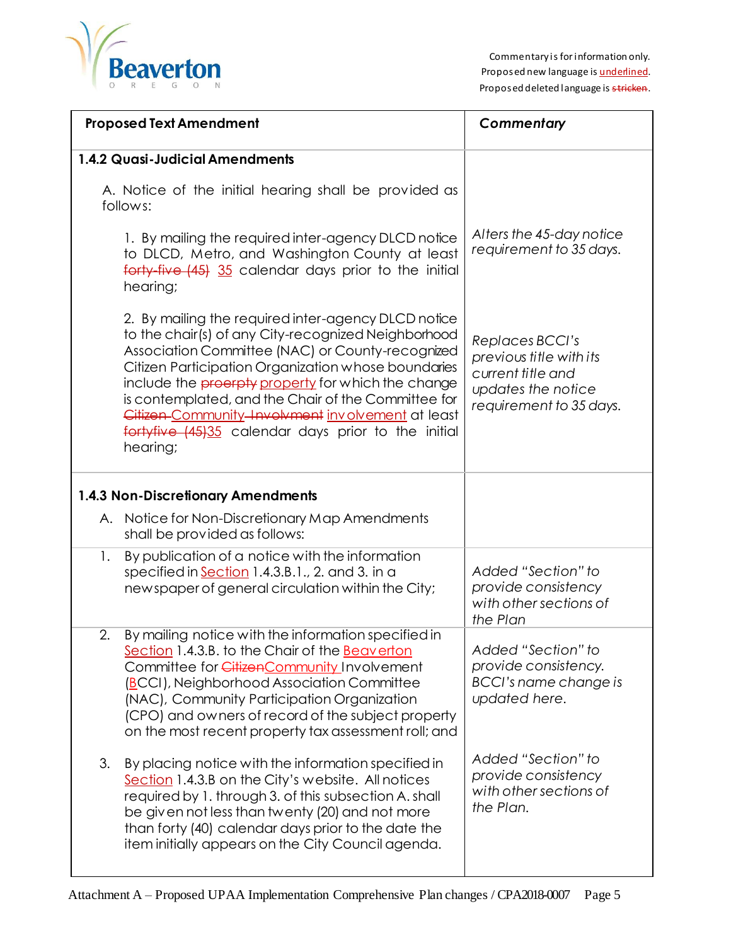

| <b>Proposed Text Amendment</b>                                                                                                                                                                                                                                                                                                                                                                                                                                    | Commentary                                                                                                       |
|-------------------------------------------------------------------------------------------------------------------------------------------------------------------------------------------------------------------------------------------------------------------------------------------------------------------------------------------------------------------------------------------------------------------------------------------------------------------|------------------------------------------------------------------------------------------------------------------|
| 1.4.2 Quasi-Judicial Amendments                                                                                                                                                                                                                                                                                                                                                                                                                                   |                                                                                                                  |
| A. Notice of the initial hearing shall be provided as<br>follows:                                                                                                                                                                                                                                                                                                                                                                                                 |                                                                                                                  |
| 1. By mailing the required inter-agency DLCD notice<br>to DLCD, Metro, and Washington County at least<br>forty-five (45) 35 calendar days prior to the initial<br>hearing;                                                                                                                                                                                                                                                                                        | Alters the 45-day notice<br>requirement to 35 days.                                                              |
| 2. By mailing the required inter-agency DLCD notice<br>to the chair(s) of any City-recognized Neighborhood<br>Association Committee (NAC) or County-recognized<br>Citizen Participation Organization whose boundaries<br>include the <b>proerpty</b> property for which the change<br>is contemplated, and the Chair of the Committee for<br>Citizen-Community-Involvment involvement at least<br>fortyfive (45)35 calendar days prior to the initial<br>hearing; | Replaces BCCI's<br>previous title with its<br>current title and<br>updates the notice<br>requirement to 35 days. |
| <b>1.4.3 Non-Discretionary Amendments</b>                                                                                                                                                                                                                                                                                                                                                                                                                         |                                                                                                                  |
| A. Notice for Non-Discretionary Map Amendments<br>shall be provided as follows:                                                                                                                                                                                                                                                                                                                                                                                   |                                                                                                                  |
| 1.<br>By publication of a notice with the information<br>specified in Section 1.4.3.B.1., 2. and 3. in a<br>newspaper of general circulation within the City;                                                                                                                                                                                                                                                                                                     | Added "Section" to<br>provide consistency<br>with other sections of<br>the Plan                                  |
| 2.<br>By mailing notice with the information specified in<br>Section 1.4.3.B. to the Chair of the <b>Beaverton</b><br>Committee for CitizenCommunity Involvement<br>(BCCI), Neighborhood Association Committee<br>(NAC), Community Participation Organization<br>(CPO) and owners of record of the subject property<br>on the most recent property tax assessment roll; and                                                                                       | Added "Section" to<br>provide consistency.<br>BCCI's name change is<br>updated here.                             |
| 3.<br>By placing notice with the information specified in<br>Section 1.4.3.B on the City's website. All notices<br>required by 1. through 3. of this subsection A. shall<br>be given not less than twenty (20) and not more<br>than forty (40) calendar days prior to the date the<br>item initially appears on the City Council agenda.                                                                                                                          | Added "Section" to<br>provide consistency<br>with other sections of<br>the Plan.                                 |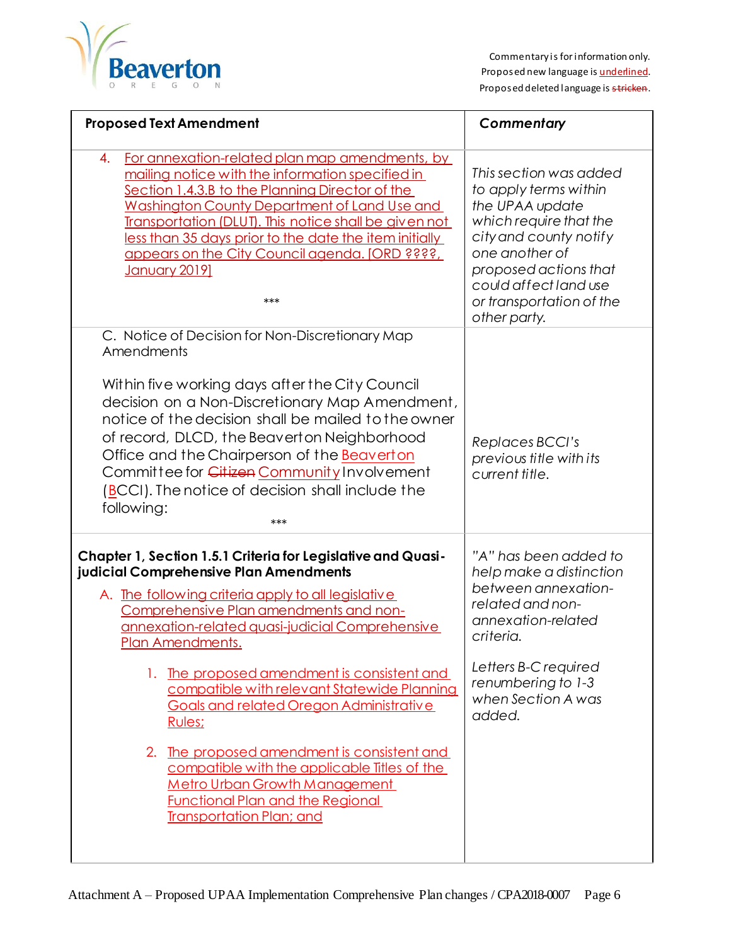

| <b>Proposed Text Amendment</b>                                                                                                                                                                                                                                                                                                                                                                                                                                                                                                                                                                                                                              | Commentary                                                                                                                                                                                                                             |
|-------------------------------------------------------------------------------------------------------------------------------------------------------------------------------------------------------------------------------------------------------------------------------------------------------------------------------------------------------------------------------------------------------------------------------------------------------------------------------------------------------------------------------------------------------------------------------------------------------------------------------------------------------------|----------------------------------------------------------------------------------------------------------------------------------------------------------------------------------------------------------------------------------------|
| For annexation-related plan map amendments, by<br>4.<br>mailing notice with the information specified in<br>Section 1.4.3.B to the Planning Director of the<br>Washington County Department of Land Use and<br>Transportation (DLUT). This notice shall be given not<br>less than 35 days prior to the date the item initially<br>appears on the City Council agenda. [ORD ????,<br><u>January 20191</u><br>***                                                                                                                                                                                                                                             | This section was added<br>to apply terms within<br>the UPAA update<br>which require that the<br>city and county notify<br>one another of<br>proposed actions that<br>could affect land use<br>or transportation of the<br>other party. |
| C. Notice of Decision for Non-Discretionary Map<br>Amendments<br>Within five working days after the City Council<br>decision on a Non-Discretionary Map Amendment,<br>notice of the decision shall be mailed to the owner<br>of record, DLCD, the Beaverton Neighborhood<br>Office and the Chairperson of the <b>Beaverton</b><br>Committee for Citizen Community Involvement<br>(BCCI). The notice of decision shall include the<br>following:<br>***                                                                                                                                                                                                      | Replaces BCCI's<br>previous title with its<br>current title.                                                                                                                                                                           |
| Chapter 1, Section 1.5.1 Criteria for Legislative and Quasi-<br>judicial Comprehensive Plan Amendments<br>A. The following criteria apply to all legislative<br>Comprehensive Plan amendments and non-<br>annexation-related quasi-judicial Comprehensive<br>Plan Amendments.<br>The proposed amendment is consistent and<br>1.<br>compatible with relevant Statewide Planning<br>Goals and related Oregon Administrative<br>Rules;<br>2.<br>The proposed amendment is consistent and<br>compatible with the applicable Titles of the<br><b>Metro Urban Growth Management</b><br><b>Functional Plan and the Regional</b><br><b>Transportation Plan; and</b> | "A" has been added to<br>help make a distinction<br>between annexation-<br>related and non-<br>annexation-related<br>criteria.<br>Letters B-C required<br>renumbering to 1-3<br>when Section A was<br>added.                           |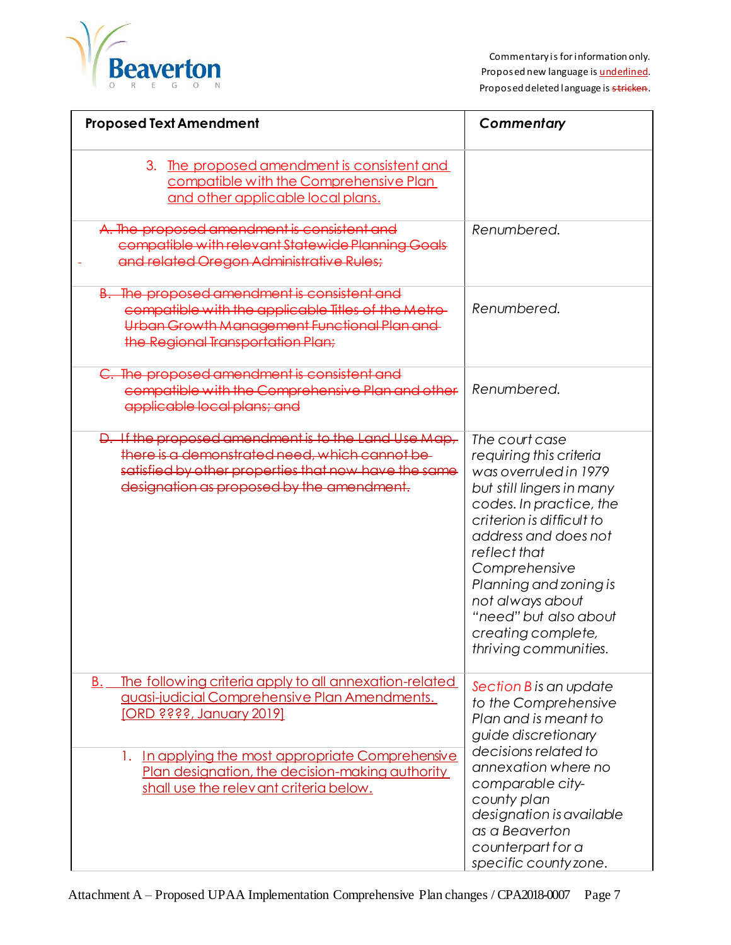

| <b>Proposed Text Amendment</b>                                                                                                                                                                                                                                                                      | Commentary                                                                                                                                                                                                                                                                                                                             |
|-----------------------------------------------------------------------------------------------------------------------------------------------------------------------------------------------------------------------------------------------------------------------------------------------------|----------------------------------------------------------------------------------------------------------------------------------------------------------------------------------------------------------------------------------------------------------------------------------------------------------------------------------------|
| 3. The proposed amendment is consistent and<br>compatible with the Comprehensive Plan<br>and other applicable local plans.                                                                                                                                                                          |                                                                                                                                                                                                                                                                                                                                        |
| A. The proposed amendment is consistent and<br>compatible with relevant Statewide Planning Goals<br>and related Oregon Administrative Rules;                                                                                                                                                        | Renumbered.                                                                                                                                                                                                                                                                                                                            |
| B. The proposed amendment is consistent and<br>compatible with the applicable Titles of the Metro-<br>Urban Growth Management Functional Plan and<br>the Regional Transportation Plan;                                                                                                              | Renumbered.                                                                                                                                                                                                                                                                                                                            |
| C. The proposed amendment is consistent and<br>compatible with the Comprehensive Plan and other<br>applicable local plans; and                                                                                                                                                                      | Renumbered.                                                                                                                                                                                                                                                                                                                            |
| D. If the proposed amendment is to the Land Use Map,<br>there is a demonstrated need, which cannot be<br>satisfied by other properties that now have the same<br>designation as proposed by the amendment.                                                                                          | The court case<br>requiring this criteria<br>was overruled in 1979<br>but still lingers in many<br>codes. In practice, the<br>criterion is difficult to<br>address and does not<br>reflect that<br>Comprehensive<br>Planning and zoning is<br>not always about<br>"need" but also about<br>creating complete,<br>thriving communities. |
| The following criteria apply to all annexation-related<br>B.<br>guasi-judicial Comprehensive Plan Amendments.<br><u> [ORD ????, January 2019]</u><br>1. In applying the most appropriate Comprehensive<br>Plan designation, the decision-making authority<br>shall use the relevant criteria below. | Section B is an update<br>to the Comprehensive<br>Plan and is meant to<br>guide discretionary<br>decisions related to<br>annexation where no<br>comparable city-<br>county plan<br>designation is available<br>as a Beaverton<br>counterpart for a<br>specific county zone.                                                            |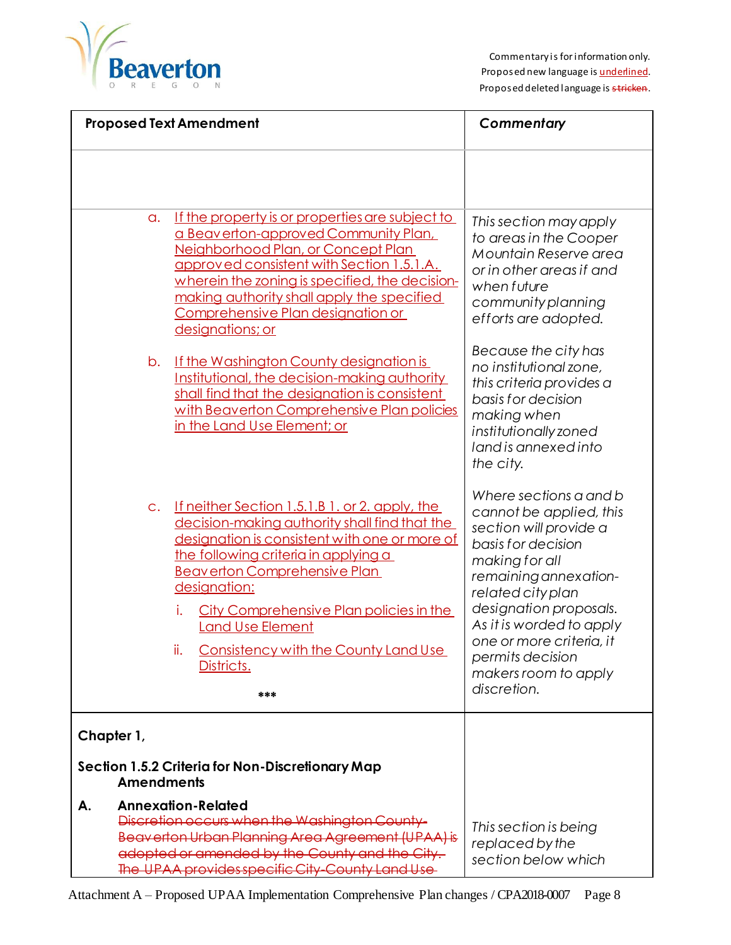

| <b>Proposed Text Amendment</b>                                                                                                                                                                                                                                                                                                                                                                                        | Commentary                                                                                                                                                                                                                                                                                                     |
|-----------------------------------------------------------------------------------------------------------------------------------------------------------------------------------------------------------------------------------------------------------------------------------------------------------------------------------------------------------------------------------------------------------------------|----------------------------------------------------------------------------------------------------------------------------------------------------------------------------------------------------------------------------------------------------------------------------------------------------------------|
|                                                                                                                                                                                                                                                                                                                                                                                                                       |                                                                                                                                                                                                                                                                                                                |
| If the property is or properties are subject to<br>$\alpha$ .<br>a Beaverton-approved Community Plan,<br>Neighborhood Plan, or Concept Plan<br>approved consistent with Section 1.5.1.A.<br>wherein the zoning is specified, the decision-<br>making authority shall apply the specified<br>Comprehensive Plan designation or<br>designations; or                                                                     | This section may apply<br>to areas in the Cooper<br>Mountain Reserve area<br>or in other areas if and<br>when future<br>community planning<br>efforts are adopted.                                                                                                                                             |
| If the Washington County designation is<br>b.<br>Institutional, the decision-making authority<br>shall find that the designation is consistent<br>with Beaverton Comprehensive Plan policies<br>in the Land Use Element; or                                                                                                                                                                                           | Because the city has<br>no institutional zone,<br>this criteria provides a<br>basis for decision<br>making when<br>institutionally zoned<br>land is annexed into<br>the city.                                                                                                                                  |
| <u>If neither Section 1.5.1.B 1. or 2. apply, the</u><br>$C_{\star}$<br>decision-making authority shall find that the<br>designation is consistent with one or more of<br>the following criteria in applying a<br><b>Beaverton Comprehensive Plan</b><br>designation:<br>City Comprehensive Plan policies in the<br>Ι.<br><b>Land Use Element</b><br>ii.<br>Consistency with the County Land Use<br>Districts.<br>*** | Where sections a and b<br>cannot be applied, this<br>section will provide a<br>basis for decision<br>making for all<br>remaining annexation-<br>related city plan<br>designation proposals.<br>As it is worded to apply<br>one or more criteria, it<br>permits decision<br>makers room to apply<br>discretion. |
| Chapter 1,<br>Section 1.5.2 Criteria for Non-Discretionary Map<br><b>Amendments</b>                                                                                                                                                                                                                                                                                                                                   |                                                                                                                                                                                                                                                                                                                |
| <b>Annexation-Related</b><br>А.<br>Discretion occurs when the Washington County-<br>Beaverton Urban Planning Area Agreement (UPAA) is<br>adopted or amended by the County and the City.<br>The UPAA provides specific City-County Land Use                                                                                                                                                                            | This section is being<br>replaced by the<br>section below which                                                                                                                                                                                                                                                |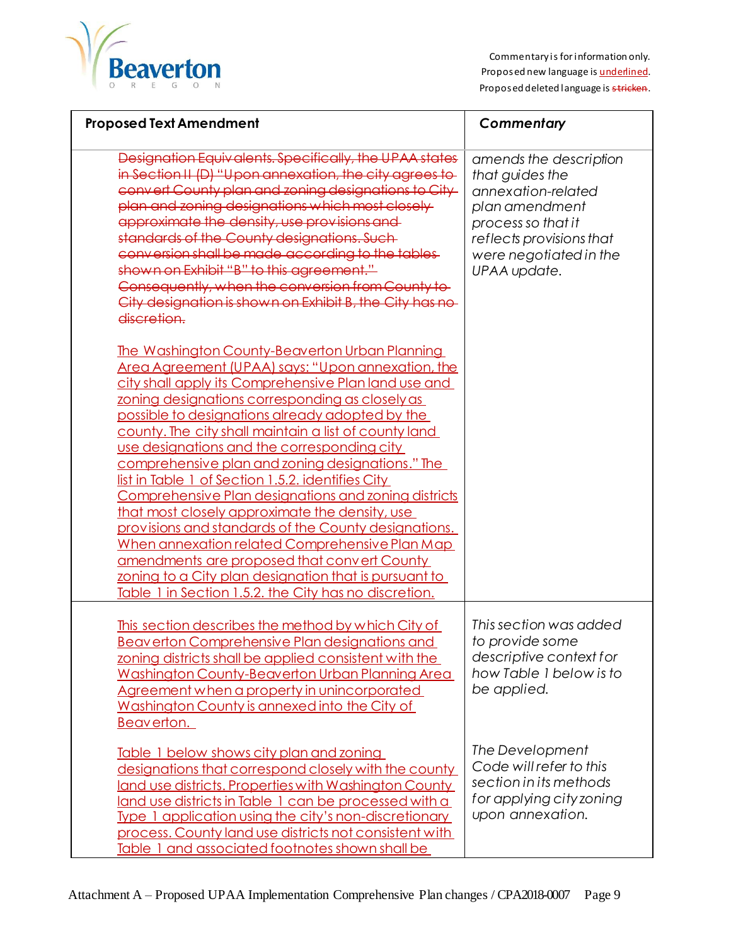

| <b>Proposed Text Amendment</b>                                                                                                                                                                                                                                                                                                                                                                                                                                                                                                                                                                                                                                                                                                                                                                                                                                          | Commentary                                                                                                                                                                    |
|-------------------------------------------------------------------------------------------------------------------------------------------------------------------------------------------------------------------------------------------------------------------------------------------------------------------------------------------------------------------------------------------------------------------------------------------------------------------------------------------------------------------------------------------------------------------------------------------------------------------------------------------------------------------------------------------------------------------------------------------------------------------------------------------------------------------------------------------------------------------------|-------------------------------------------------------------------------------------------------------------------------------------------------------------------------------|
| Designation Equivalents. Specifically, the UPAA states<br>in Section II (D) "Upon annexation, the city agrees to<br>convert County plan and zoning designations to City<br>plan and zoning designations which most closely<br>approximate the density, use provisions and<br>standards of the County designations. Such<br>conversion shall be made according to the tables<br>shown on Exhibit "B" to this agreement."<br>Consequently, when the conversion from County to-<br>City designation is shown on Exhibit B, the City has no-<br>discretion.                                                                                                                                                                                                                                                                                                                 | amends the description<br>that guides the<br>annexation-related<br>plan amendment<br>process so that it<br>reflects provisions that<br>were negotiated in the<br>UPAA update. |
| The Washington County-Beaverton Urban Planning<br>Area Agreement (UPAA) says: "Upon annexation, the<br>city shall apply its Comprehensive Plan land use and<br>zoning designations corresponding as closely as<br>possible to designations already adopted by the<br>county. The city shall maintain a list of county land<br>use designations and the corresponding city<br>comprehensive plan and zoning designations." The<br>list in Table 1 of Section 1.5.2. identifies City<br>Comprehensive Plan designations and zoning districts<br>that most closely approximate the density, use<br>provisions and standards of the County designations.<br>When annexation related Comprehensive Plan Map<br>amendments are proposed that convert County<br>zoning to a City plan designation that is pursuant to<br>Table 1 in Section 1.5.2, the City has no discretion. |                                                                                                                                                                               |
| This section describes the method by which City of<br><b>Beaverton Comprehensive Plan designations and</b><br>zoning districts shall be applied consistent with the<br>Washington County-Beaverton Urban Planning Area<br>Agreement when a property in unincorporated<br>Washington County is annexed into the City of<br>Beaverton.                                                                                                                                                                                                                                                                                                                                                                                                                                                                                                                                    | This section was added<br>to provide some<br>descriptive context for<br>how Table 1 below is to<br>be applied.                                                                |
| Table 1 below shows city plan and zoning<br>designations that correspond closely with the county<br>land use districts. Properties with Washington County<br>land use districts in Table 1 can be processed with a<br>Type 1 application using the city's non-discretionary<br>process. County land use districts not consistent with<br>Table 1 and associated footnotes shown shall be                                                                                                                                                                                                                                                                                                                                                                                                                                                                                | The Development<br>Code will refer to this<br>section in its methods<br>for applying city zoning<br>upon annexation.                                                          |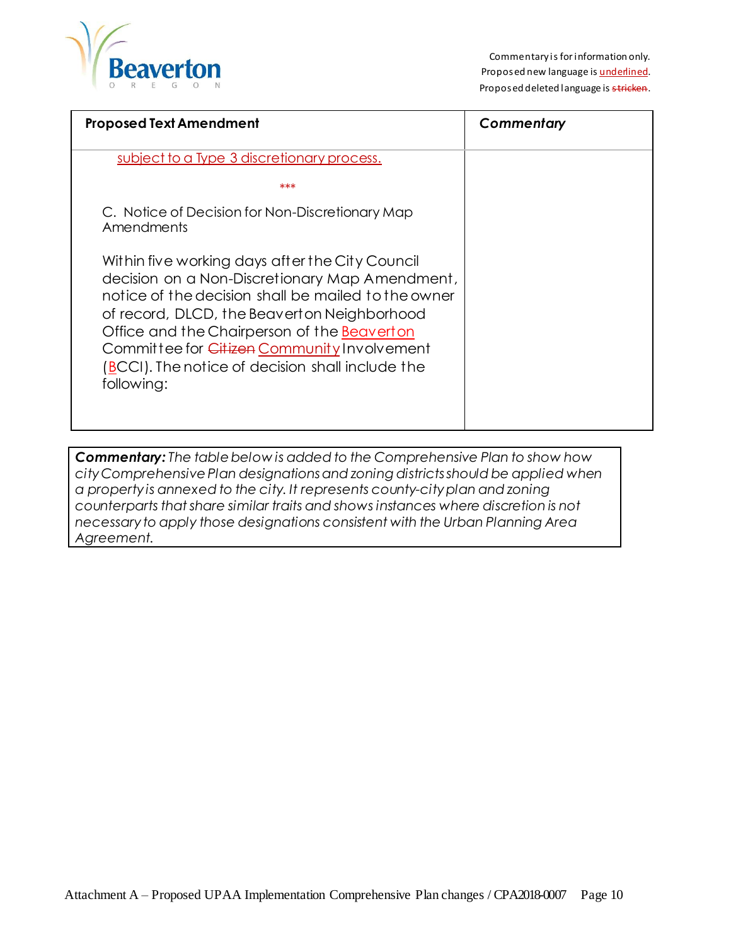

| <b>Proposed Text Amendment</b>                                                                                                                                                                                                                                                                                                                                          | Commentary |
|-------------------------------------------------------------------------------------------------------------------------------------------------------------------------------------------------------------------------------------------------------------------------------------------------------------------------------------------------------------------------|------------|
| subject to a Type 3 discretionary process.                                                                                                                                                                                                                                                                                                                              |            |
| ***                                                                                                                                                                                                                                                                                                                                                                     |            |
| C. Notice of Decision for Non-Discretionary Map<br>Amendments                                                                                                                                                                                                                                                                                                           |            |
| Within five working days after the City Council<br>decision on a Non-Discretionary Map Amendment,<br>notice of the decision shall be mailed to the owner<br>of record, DLCD, the Beaverton Neighborhood<br>Office and the Chairperson of the Beaverton<br>Committee for Citizen Community Involvement<br>(BCCI). The notice of decision shall include the<br>following: |            |

*Commentary: The table below is added to the Comprehensive Plan to show how city Comprehensive Plan designations and zoning districts should be applied when a property is annexed to the city. It represents county-city plan and zoning counterparts that share similar traits and shows instances where discretion is not necessary to apply those designations consistent with the Urban Planning Area Agreement.*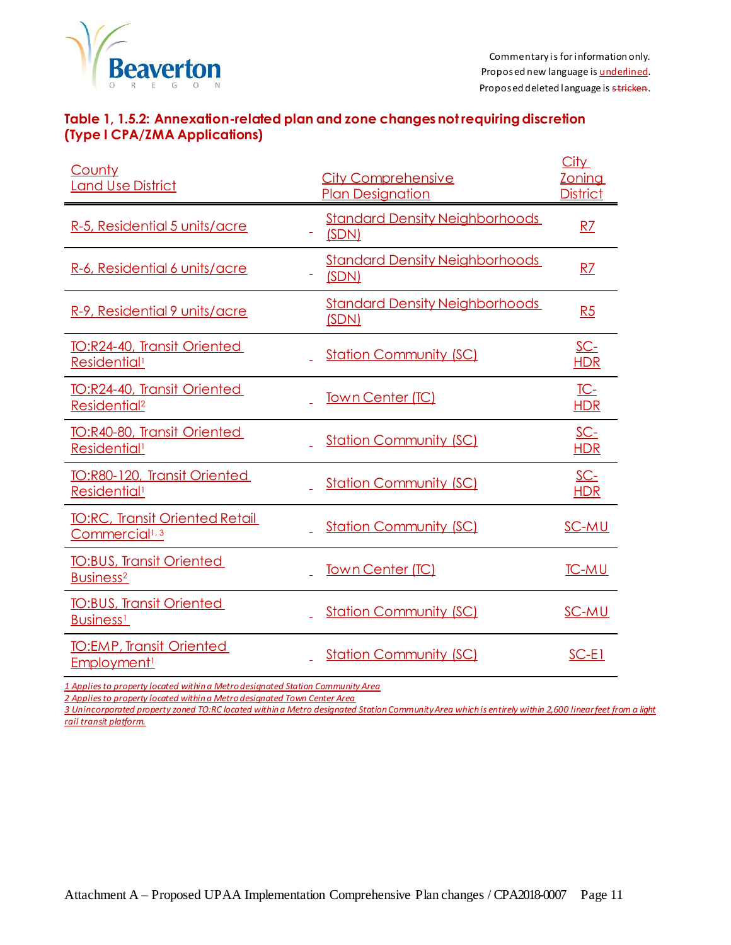

#### **Table 1, 1.5.2: Annexation-related plan and zone changes not requiring discretion (Type I CPA/ZMA Applications)**

| <b>County</b><br><b>Land Use District</b>                           | <b>City Comprehensive</b><br><b>Plan Designation</b> | City<br><b>Zoning</b><br><b>District</b> |
|---------------------------------------------------------------------|------------------------------------------------------|------------------------------------------|
| R-5, Residential 5 units/acre                                       | <b>Standard Density Neighborhoods</b><br>(SDN)       | R <sub>7</sub>                           |
| R-6, Residential 6 units/acre                                       | <b>Standard Density Neighborhoods</b><br>(SDN)       | RZ                                       |
| R-9, Residential 9 units/acre                                       | <b>Standard Density Neighborhoods</b><br>(SDN)       | R5                                       |
| TO:R24-40, Transit Oriented<br>Residential <sup>1</sup>             | <b>Station Community (SC)</b>                        | <u>SC-</u><br><b>HDR</b>                 |
| TO:R24-40, Transit Oriented<br>Residential <sup>2</sup>             | <b>Town Center (TC)</b>                              | $TC-$<br><b>HDR</b>                      |
| TO:R40-80, Transit Oriented<br>Residential <sup>1</sup>             | <b>Station Community (SC)</b>                        | $SC-$<br><b>HDR</b>                      |
| TO:R80-120, Transit Oriented<br>Residential <sup>1</sup>            | <b>Station Community (SC)</b>                        | SC-<br><b>HDR</b>                        |
| <b>TO:RC, Transit Oriented Retail</b><br>Commercial <sup>1, 3</sup> | <b>Station Community (SC)</b>                        | SC-MU                                    |
| <b>TO:BUS, Transit Oriented</b><br>Business <sup>2</sup>            | Town Center (TC)                                     | <b>TC-MU</b>                             |
| <b>TO:BUS, Transit Oriented</b><br><b>Business</b> <sup>1</sup>     | <b>Station Community (SC)</b>                        | SC-MU                                    |
| <b>TO:EMP, Transit Oriented</b><br><b>Employment</b> <sup>1</sup>   | <b>Station Community (SC)</b>                        | $SC-E1$                                  |

*1 Applies to property located within a Metro designated Station Community Area*

*2 Applies to property located within a Metro designated Town Center Area*

*3 Unincorporated property zoned TO:RC located within a Metro designated Station Community Area which is entirely within 2,600 linear feet from a light rail transit platform.*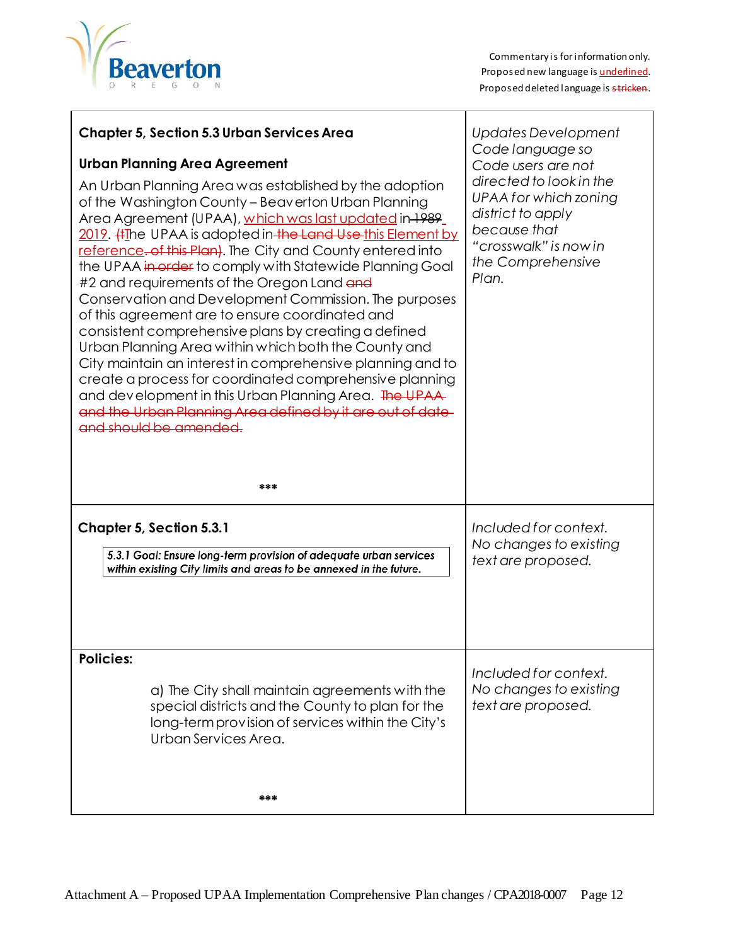

| <b>Chapter 5, Section 5.3 Urban Services Area</b><br><b>Urban Planning Area Agreement</b><br>An Urban Planning Area was established by the adoption<br>of the Washington County - Beaverton Urban Planning<br>Area Agreement (UPAA), which was last updated in 1989_<br>2019. #The UPAA is adopted in the Land Use this Element by<br>reference. of this Plan). The City and County entered into<br>the UPAA in erder to comply with Statewide Planning Goal<br>#2 and requirements of the Oregon Land and<br>Conservation and Development Commission. The purposes<br>of this agreement are to ensure coordinated and<br>consistent comprehensive plans by creating a defined<br>Urban Planning Area within which both the County and<br>City maintain an interest in comprehensive planning and to<br>create a process for coordinated comprehensive planning<br>and development in this Urban Planning Area. The UPAA-<br>and the Urban Planning Area defined by it are out of date-<br>and should be amended.<br>*** | Updates Development<br>Code language so<br>Code users are not<br>directed to look in the<br>UPAA for which zoning<br>district to apply<br>because that<br>"crosswalk" is now in<br>the Comprehensive<br>Plan. |
|--------------------------------------------------------------------------------------------------------------------------------------------------------------------------------------------------------------------------------------------------------------------------------------------------------------------------------------------------------------------------------------------------------------------------------------------------------------------------------------------------------------------------------------------------------------------------------------------------------------------------------------------------------------------------------------------------------------------------------------------------------------------------------------------------------------------------------------------------------------------------------------------------------------------------------------------------------------------------------------------------------------------------|---------------------------------------------------------------------------------------------------------------------------------------------------------------------------------------------------------------|
| <b>Chapter 5, Section 5.3.1</b><br>5.3.1 Goal: Ensure long-term provision of adequate urban services<br>within existing City limits and areas to be annexed in the future.                                                                                                                                                                                                                                                                                                                                                                                                                                                                                                                                                                                                                                                                                                                                                                                                                                               | Included for context.<br>No changes to existing<br>text are proposed.                                                                                                                                         |
| <b>Policies:</b><br>a) The City shall maintain agreements with the<br>special districts and the County to plan for the<br>long-term provision of services within the City's<br>Urban Services Area.<br>***                                                                                                                                                                                                                                                                                                                                                                                                                                                                                                                                                                                                                                                                                                                                                                                                               | Included for context.<br>No changes to existing<br>text are proposed.                                                                                                                                         |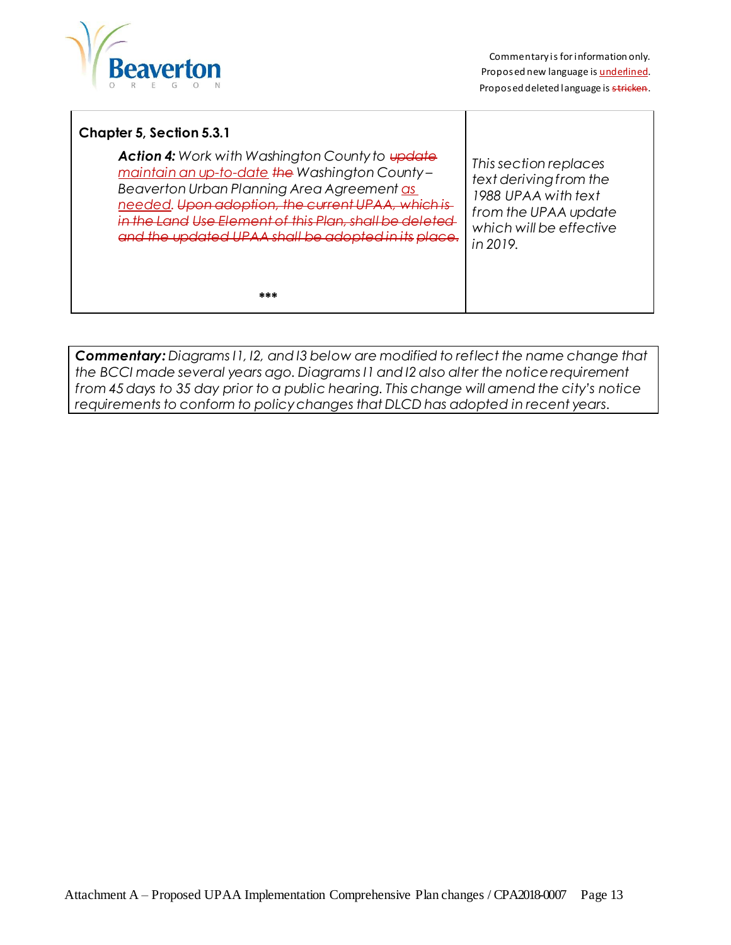

#### **Chapter 5, Section 5.3.1**

*Action 4: Work with Washington County to update maintain an up-to-date the Washington County – Beaverton Urban Planning Area Agreement as needed. Upon adoption, the current UPAA, which is in the Land Use Element of this Plan, shall be deleted and the updated UPAA shall be adopted in its place.*

*This section replaces text deriving from the 1988 UPAA with text from the UPAA update which will be effective in 2019.*

**\*\*\***

*Commentary: Diagrams I1, I2, and I3 below are modified to reflect the name change that the BCCI made several years ago. Diagrams I1 and I2 also alter the notice requirement from 45 days to 35 day prior to a public hearing. This change will amend the city's notice requirements to conform to policy changes that DLCD has adopted in recent years.*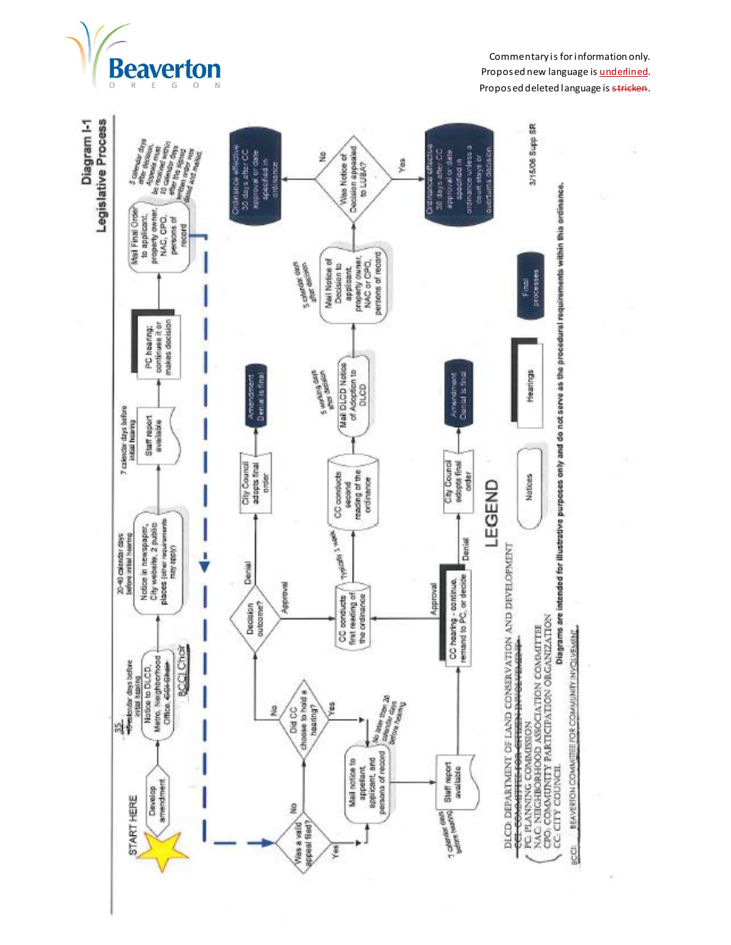

÷

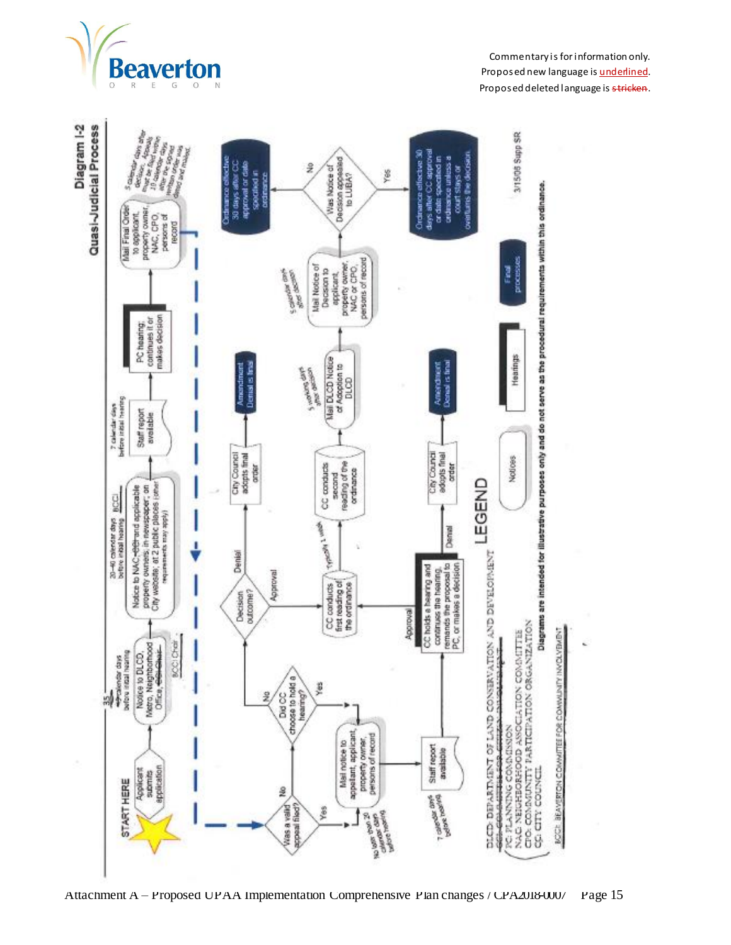